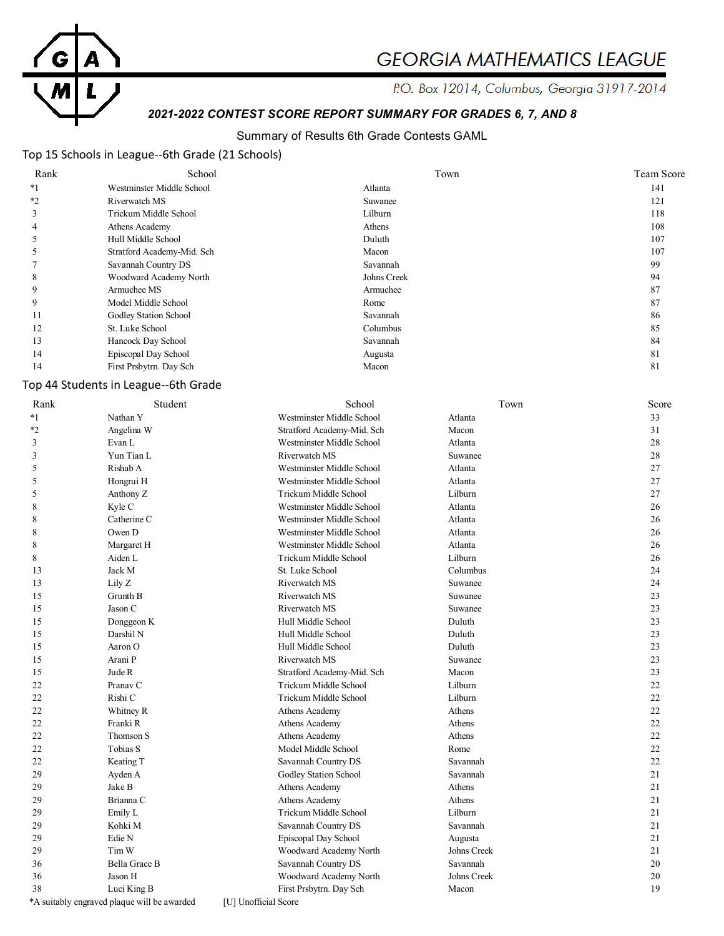

# **GEORGIA MATHEMATICS LEAGUE**

P.O. Box 12014, Columbus, Georgia 31917-2014

# *2021-2022 CONTEST SCORE REPORT SUMMARY FOR GRADES 6, 7, AND 8*

## Summary of Results 6th Grade Contests GAML

## Top 15 Schools in League--6th Grade (21 Schools)

| Rank | School                     | Town        | Team Score |
|------|----------------------------|-------------|------------|
| $*1$ | Westminster Middle School  | Atlanta     | 141        |
| $*2$ | Riverwatch MS              | Suwanee     | 121        |
| 3    | Trickum Middle School      | Lilburn     | 118        |
| 4    | Athens Academy             | Athens      | 108        |
|      | Hull Middle School         | Duluth      | 107        |
|      | Stratford Academy-Mid. Sch | Macon       | 107        |
|      | Savannah Country DS        | Savannah    | 99         |
| 8    | Woodward Academy North     | Johns Creek | 94         |
| 9    | Armuchee MS                | Armuchee    | 87         |
| 9    | Model Middle School        | Rome        | 87         |
| 11   | Godley Station School      | Savannah    | 86         |
| 12   | St. Luke School            | Columbus    | 85         |
| 13   | Hancock Day School         | Savannah    | 84         |
| 14   | Episcopal Day School       | Augusta     | 81         |
| 14   | First Prsbytrn. Day Sch    | Macon       | 81         |
|      |                            |             |            |

# Top 44 Students in League--6th Grade

| Rank    | Student                                     | School                     | Town        | Score |
|---------|---------------------------------------------|----------------------------|-------------|-------|
| $*1$    | Nathan Y                                    | Westminster Middle School  | Atlanta     | 33    |
| $*_{2}$ | Angelina W                                  | Stratford Academy-Mid. Sch | Macon       | 31    |
| 3       | Evan L                                      | Westminster Middle School  | Atlanta     | 28    |
| 3       | Yun Tian L                                  | Riverwatch MS              | Suwanee     | 28    |
| 5       | Rishab A                                    | Westminster Middle School  | Atlanta     | 27    |
| 5       | Hongrui H                                   | Westminster Middle School  | Atlanta     | 27    |
| 5       | Anthony Z                                   | Trickum Middle School      | Lilburn     | 27    |
| 8       | Kyle C                                      | Westminster Middle School  | Atlanta     | 26    |
| 8       | Catherine C                                 | Westminster Middle School  | Atlanta     | 26    |
| 8       | Owen D                                      | Westminster Middle School  | Atlanta     | 26    |
| 8       | Margaret H                                  | Westminster Middle School  | Atlanta     | 26    |
| 8       | Aiden L                                     | Trickum Middle School      | Lilburn     | 26    |
| 13      | Jack M                                      | St. Luke School            | Columbus    | 24    |
| 13      | Lily Z                                      | Riverwatch MS              | Suwanee     | 24    |
| 15      | Grunth B                                    | Riverwatch MS              | Suwanee     | 23    |
| 15      | Jason C                                     | Riverwatch MS              | Suwanee     | 23    |
| 15      | Donggeon K                                  | Hull Middle School         | Duluth      | 23    |
| 15      | Darshil N                                   | Hull Middle School         | Duluth      | 23    |
| 15      | Aaron O                                     | Hull Middle School         | Duluth      | 23    |
| 15      | Arani P                                     | Riverwatch MS              | Suwanee     | 23    |
| 15      | Jude R                                      | Stratford Academy-Mid. Sch | Macon       | 23    |
| 22      | Pranav <sub>C</sub>                         | Trickum Middle School      | Lilburn     | 22    |
| 22      | Rishi C                                     | Trickum Middle School      | Lilburn     | 22    |
| 22      | Whitney R                                   | Athens Academy             | Athens      | 22    |
| 22      | Franki R                                    | Athens Academy             | Athens      | 22    |
| 22      | Thomson S                                   | Athens Academy             | Athens      | 22    |
| 22      | Tobias S                                    | Model Middle School        | Rome        | 22    |
| 22      | Keating T                                   | Savannah Country DS        | Savannah    | 22    |
| 29      | Ayden A                                     | Godley Station School      | Savannah    | 21    |
| 29      | Jake B                                      | Athens Academy             | Athens      | 21    |
| 29      | Brianna C                                   | Athens Academy             | Athens      | 21    |
| 29      | Emily L                                     | Trickum Middle School      | Lilburn     | 21    |
| 29      | Kohki M                                     | Savannah Country DS        | Savannah    | 21    |
| 29      | Edie N                                      | Episcopal Day School       | Augusta     | 21    |
| 29      | Tim W                                       | Woodward Academy North     | Johns Creek | 21    |
| 36      | Bella Grace B                               | Savannah Country DS        | Savannah    | 20    |
| 36      | Jason H                                     | Woodward Academy North     | Johns Creek | 20    |
| 38      | Luci King B                                 | First Prsbytrn. Day Sch    | Macon       | 19    |
|         | *A suitably engraved plaque will be awarded | [U] Unofficial Score       |             |       |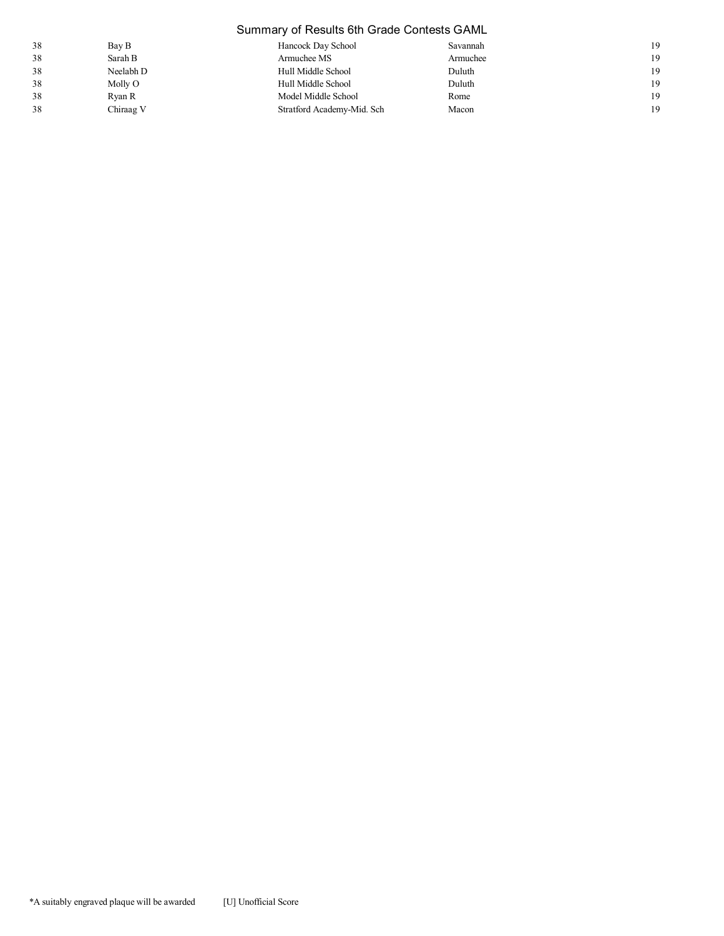# Summary of Results 6th Grade Contests GAML

| 38 | Bay B     | Hancock Day School         | Savannah | 19 |
|----|-----------|----------------------------|----------|----|
| 38 | Sarah B   | Armuchee MS                | Armuchee | 19 |
| 38 | Neelabh D | Hull Middle School         | Duluth   | 19 |
| 38 | Molly O   | Hull Middle School         | Duluth   | 19 |
| 38 | Ryan R    | Model Middle School        | Rome     | 19 |
| 38 | Chiraag V | Stratford Academy-Mid. Sch | Macon    | 19 |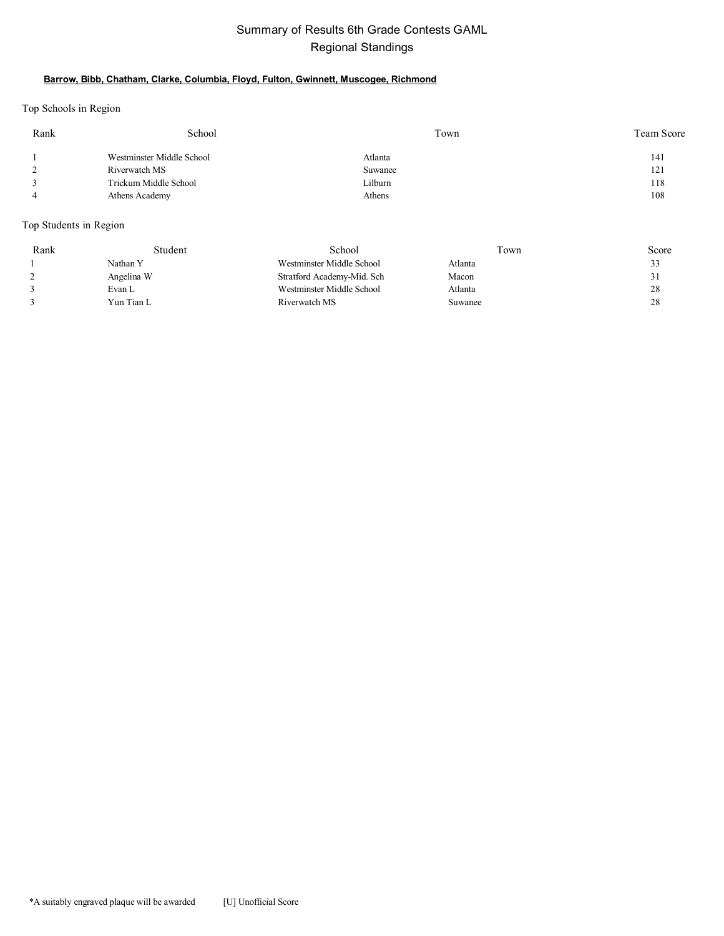# Summary of Results 6th Grade Contests GAML Regional Standings

#### **Barrow, Bibb, Chatham, Clarke, Columbia, Floyd, Fulton, Gwinnett, Muscogee, Richmond**

Top Schools in Region

| Rank | School                    | Town    | Team Score |
|------|---------------------------|---------|------------|
|      | Westminster Middle School | Atlanta | 141        |
|      | Riverwatch MS             | Suwanee | 121        |
|      | Trickum Middle School     | Lilburn | 118        |
|      | Athens Academy            | Athens  | 108        |
|      |                           |         |            |

Top Students in Region

| Rank | Student    | School                     | Town    | Score        |
|------|------------|----------------------------|---------|--------------|
|      | Nathan Y   | Westminster Middle School  | Atlanta | 33           |
|      | Angelina W | Stratford Academy-Mid. Sch | Macon   | $\mathbf{1}$ |
|      | Evan L     | Westminster Middle School  | Atlanta | 28           |
|      | Yun Tian L | Riverwatch MS              | Suwanee | 28           |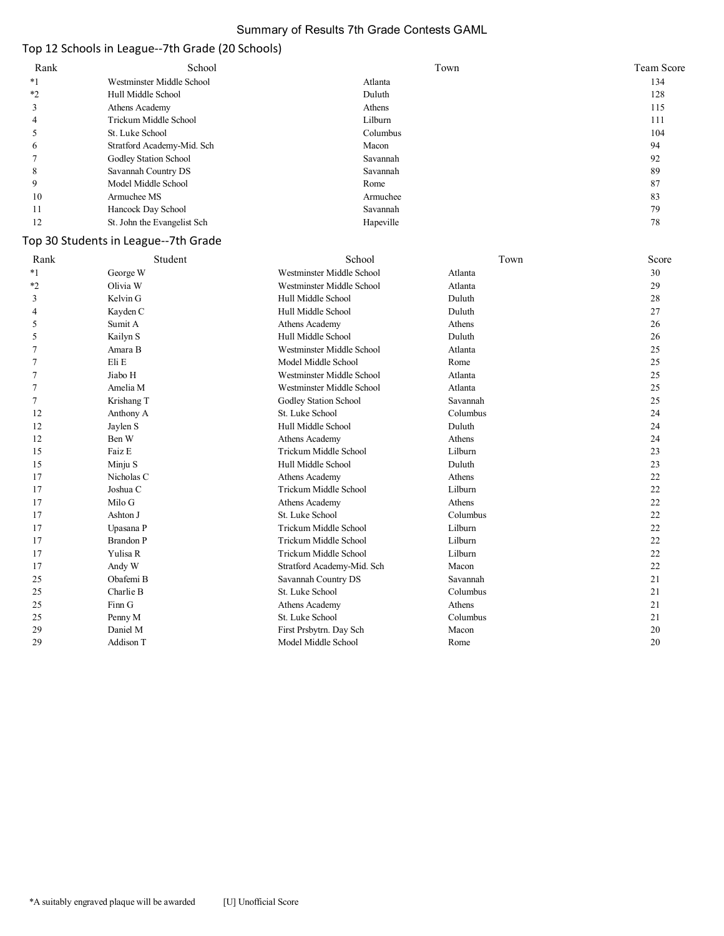### Summary of Results 7th Grade Contests GAML

## Top 12 Schools in League--7th Grade (20 Schools)

| Rank | School                      | Town      | Team Score |
|------|-----------------------------|-----------|------------|
| *1   | Westminster Middle School   | Atlanta   | 134        |
| *2   | Hull Middle School          | Duluth    | 128        |
|      | Athens Academy              | Athens    | 115        |
| 4    | Trickum Middle School       | Lilburn   | 111        |
|      | St. Luke School             | Columbus  | 104        |
| O    | Stratford Academy-Mid. Sch  | Macon     | 94         |
|      | Godley Station School       | Savannah  | 92         |
| 8    | Savannah Country DS         | Savannah  | 89         |
| 9    | Model Middle School         | Rome      | 87         |
| 10   | Armuchee MS                 | Armuchee  | 83         |
| 11   | Hancock Day School          | Savannah  | 79         |
| 12   | St. John the Evangelist Sch | Hapeville | 78         |

## Top 30 Students in League--7th Grade

| Rank    | Student          | School                     | Town     | Score |
|---------|------------------|----------------------------|----------|-------|
| $*_{1}$ | George W         | Westminster Middle School  | Atlanta  | 30    |
| $*_{2}$ | Olivia W         | Westminster Middle School  | Atlanta  | 29    |
| 3       | Kelvin G         | Hull Middle School         | Duluth   | 28    |
| 4       | Kayden C         | Hull Middle School         | Duluth   | 27    |
| 5       | Sumit A          | Athens Academy             | Athens   | 26    |
| 5       | Kailyn S         | Hull Middle School         | Duluth   | 26    |
|         | Amara B          | Westminster Middle School  | Atlanta  | 25    |
|         | Eli E            | Model Middle School        | Rome     | 25    |
|         | Jiabo H          | Westminster Middle School  | Atlanta  | 25    |
| 7       | Amelia M         | Westminster Middle School  | Atlanta  | 25    |
| 7       | Krishang T       | Godley Station School      | Savannah | 25    |
| 12      | Anthony A        | St. Luke School            | Columbus | 24    |
| 12      | Jaylen S         | Hull Middle School         | Duluth   | 24    |
| 12      | Ben W            | Athens Academy             | Athens   | 24    |
| 15      | Faiz E           | Trickum Middle School      | Lilburn  | 23    |
| 15      | Minju S          | Hull Middle School         | Duluth   | 23    |
| 17      | Nicholas C       | Athens Academy             | Athens   | 22    |
| 17      | Joshua C         | Trickum Middle School      | Lilburn  | 22    |
| 17      | Milo G           | Athens Academy             | Athens   | 22    |
| 17      | Ashton J         | St. Luke School            | Columbus | 22    |
| 17      | Upasana P        | Trickum Middle School      | Lilburn  | 22    |
| 17      | <b>Brandon P</b> | Trickum Middle School      | Lilburn  | 22    |
| 17      | Yulisa R         | Trickum Middle School      | Lilburn  | 22    |
| 17      | Andy W           | Stratford Academy-Mid. Sch | Macon    | 22    |
| 25      | Obafemi B        | Savannah Country DS        | Savannah | 21    |
| 25      | Charlie B        | St. Luke School            | Columbus | 21    |
| 25      | Finn G           | Athens Academy             | Athens   | 21    |
| 25      | Penny M          | St. Luke School            | Columbus | 21    |
| 29      | Daniel M         | First Prsbytrn. Day Sch    | Macon    | 20    |
| 29      | Addison T        | Model Middle School        | Rome     | 20    |
|         |                  |                            |          |       |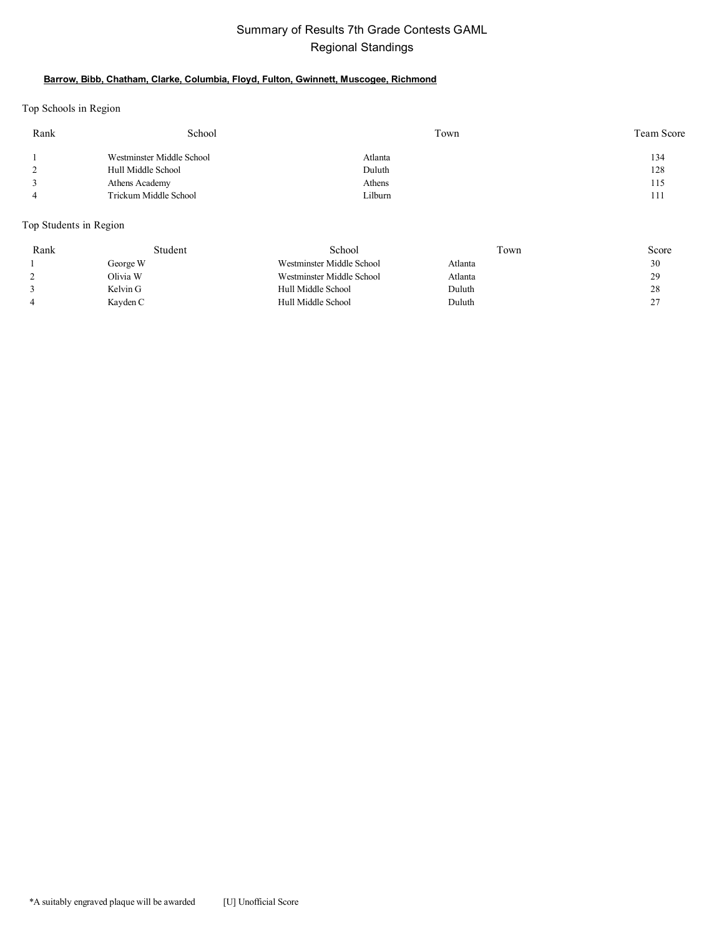# Summary of Results 7th Grade Contests GAML Regional Standings

#### **Barrow, Bibb, Chatham, Clarke, Columbia, Floyd, Fulton, Gwinnett, Muscogee, Richmond**

Top Schools in Region

| Rank | School                    | Town    | Team Score |
|------|---------------------------|---------|------------|
|      | Westminster Middle School | Atlanta | 134        |
|      | Hull Middle School        | Duluth  | 128        |
|      | Athens Academy            | Athens  | 115        |
|      | Trickum Middle School     | ∟ilburn | 111        |

Top Students in Region

| Rank | Student  | School                    | Town    | Score   |
|------|----------|---------------------------|---------|---------|
|      | George W | Westminster Middle School | Atlanta | 30      |
|      | Olivia W | Westminster Middle School | Atlanta | 29      |
|      | Kelvin G | Hull Middle School        | Duluth  | 28      |
|      | Kayden C | Hull Middle School        | Duluth  | າາ<br>∼ |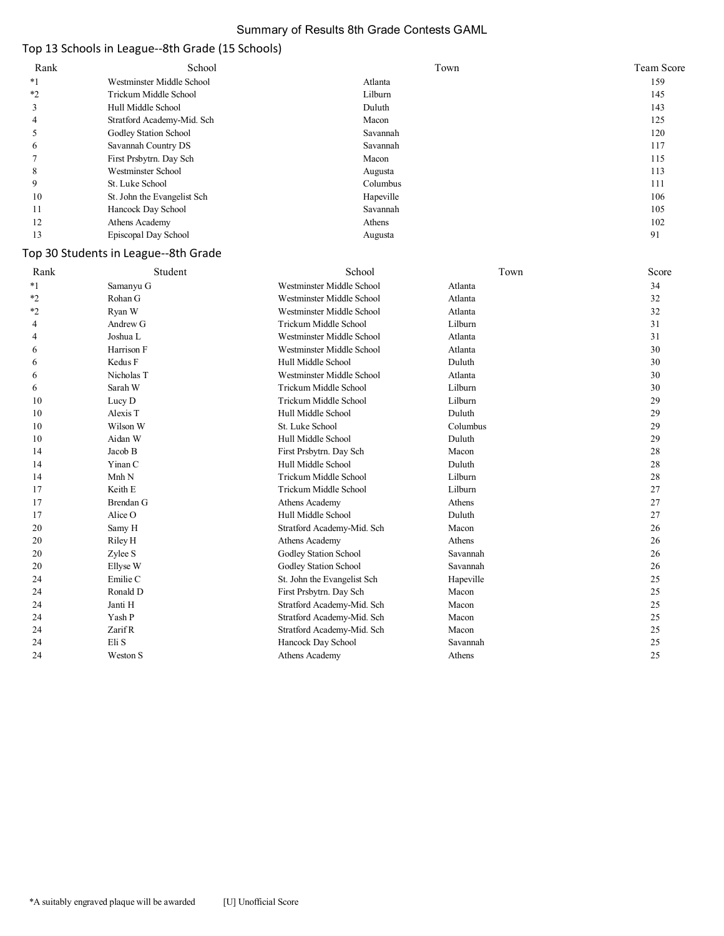### Summary of Results 8th Grade Contests GAML

## Top 13 Schools in League--8th Grade (15 Schools)

| Rank  | School                      | Town      | Team Score |
|-------|-----------------------------|-----------|------------|
| $^*1$ | Westminster Middle School   | Atlanta   | 159        |
| $*2$  | Trickum Middle School       | Lilburn   | 145        |
|       | Hull Middle School          | Duluth    | 143        |
| 4     | Stratford Academy-Mid. Sch  | Macon     | 125        |
|       | Godley Station School       | Savannah  | 120        |
| O     | Savannah Country DS         | Savannah  | 117        |
|       | First Prsbytrn. Day Sch     | Macon     | 115        |
| 8     | Westminster School          | Augusta   | 113        |
| 9     | St. Luke School             | Columbus  | 111        |
| 10    | St. John the Evangelist Sch | Hapeville | 106        |
| 11    | Hancock Day School          | Savannah  | 105        |
| 12    | Athens Academy              | Athens    | 102        |
| 13    | Episcopal Day School        | Augusta   | 91         |

### Top 30 Students in League--8th Grade

| Rank | Student    | School                      | Town      | Score |
|------|------------|-----------------------------|-----------|-------|
| $*1$ | Samanyu G  | Westminster Middle School   | Atlanta   | 34    |
| $*2$ | Rohan G    | Westminster Middle School   | Atlanta   | 32    |
| *2   | Ryan W     | Westminster Middle School   | Atlanta   | 32    |
| 4    | Andrew G   | Trickum Middle School       | Lilburn   | 31    |
| 4    | Joshua L   | Westminster Middle School   | Atlanta   | 31    |
| 6    | Harrison F | Westminster Middle School   | Atlanta   | 30    |
| 6    | Kedus F    | Hull Middle School          | Duluth    | 30    |
| 6    | Nicholas T | Westminster Middle School   | Atlanta   | 30    |
| 6    | Sarah W    | Trickum Middle School       | Lilburn   | 30    |
| 10   | Lucy D     | Trickum Middle School       | Lilburn   | 29    |
| 10   | Alexis T   | Hull Middle School          | Duluth    | 29    |
| 10   | Wilson W   | St. Luke School             | Columbus  | 29    |
| 10   | Aidan W    | Hull Middle School          | Duluth    | 29    |
| 14   | Jacob B    | First Prsbytrn. Day Sch     | Macon     | 28    |
| 14   | Yinan C    | Hull Middle School          | Duluth    | 28    |
| 14   | Mnh N      | Trickum Middle School       | Lilburn   | 28    |
| 17   | Keith E    | Trickum Middle School       | Lilburn   | 27    |
| 17   | Brendan G  | Athens Academy              | Athens    | 27    |
| 17   | Alice O    | Hull Middle School          | Duluth    | 27    |
| 20   | Samy H     | Stratford Academy-Mid. Sch  | Macon     | 26    |
| 20   | Riley H    | Athens Academy              | Athens    | 26    |
| 20   | Zylee S    | Godley Station School       | Savannah  | 26    |
| 20   | Ellyse W   | Godley Station School       | Savannah  | 26    |
| 24   | Emilie C   | St. John the Evangelist Sch | Hapeville | 25    |
| 24   | Ronald D   | First Prsbytrn. Day Sch     | Macon     | 25    |
| 24   | Janti H    | Stratford Academy-Mid. Sch  | Macon     | 25    |
| 24   | Yash P     | Stratford Academy-Mid. Sch  | Macon     | 25    |
| 24   | Zarif R    | Stratford Academy-Mid. Sch  | Macon     | 25    |
| 24   | Eli S      | Hancock Day School          | Savannah  | 25    |
| 24   | Weston S   | Athens Academy              | Athens    | 25    |
|      |            |                             |           |       |